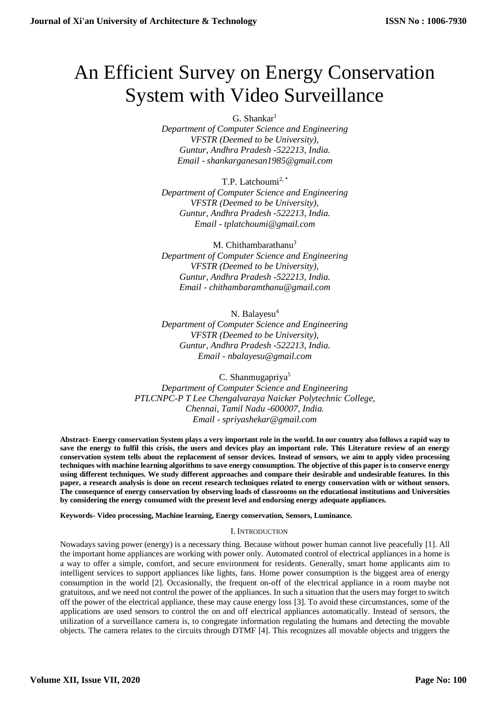# An Efficient Survey on Energy Conservation System with Video Surveillance

 $G.$  Shankar<sup>1</sup>

*Department of Computer Science and Engineering VFSTR (Deemed to be University), Guntur, Andhra Pradesh -522213, India. Email - shankarganesan1985@gmail.com*

T.P. Latchoumi<sup>2,\*</sup> *Department of Computer Science and Engineering VFSTR (Deemed to be University), Guntur, Andhra Pradesh -522213, India. Email - tplatchoumi@gmail.com*

M. Chithambarathanu $3$ *Department of Computer Science and Engineering VFSTR (Deemed to be University), Guntur, Andhra Pradesh -522213, India. Email - chithambaramthanu@gmail.com*

N. Balayesu<sup>4</sup> *Department of Computer Science and Engineering VFSTR (Deemed to be University), Guntur, Andhra Pradesh -522213, India. Email - [nbalayesu@gmail.com](mailto:nbalayesu@gmail.com)*

C. Shanmugapriya<sup>5</sup> *Department of Computer Science and Engineering PTLCNPC-P T Lee Chengalvaraya Naicker Polytechnic College, Chennai, Tamil Nadu -600007, India. Email - spriyashekar@gmail.com*

**Abstract- Energy conservation System plays a very important role in the world. In our country also follows a rapid way to save the energy to fulfil this crisis, the users and devices play an important role. This Literature review of an energy conservation system tells about the replacement of sensor devices. Instead of sensors, we aim to apply video processing techniques with machine learning algorithms to save energy consumption. The objective of this paper is to conserve energy using different techniques. We study different approaches and compare their desirable and undesirable features. In this paper, a research analysis is done on recent research techniques related to energy conservation with or without sensors. The consequence of energy conservation by observing loads of classrooms on the educational institutions and Universities by considering the energy consumed with the present level and endorsing energy adequate appliances***.*

**Keywords- Video processing, Machine learning, Energy conservation, Sensors, Luminance.**

# I. INTRODUCTION

Nowadays saving power (energy) is a necessary thing. Because without power human cannot live peacefully [1]. All the important home appliances are working with power only. Automated control of electrical appliances in a home is a way to offer a simple, comfort, and secure environment for residents. Generally, smart home applicants aim to intelligent services to support appliances like lights, fans. Home power consumption is the biggest area of energy consumption in the world [2]. Occasionally, the frequent on-off of the electrical appliance in a room maybe not gratuitous, and we need not control the power of the appliances. In such a situation that the users may forget to switch off the power of the electrical appliance, these may cause energy loss [3]. To avoid these circumstances, some of the applications are used sensors to control the on and off electrical appliances automatically. Instead of sensors, the utilization of a surveillance camera is, to congregate information regulating the humans and detecting the movable objects. The camera relates to the circuits through DTMF [4]. This recognizes all movable objects and triggers the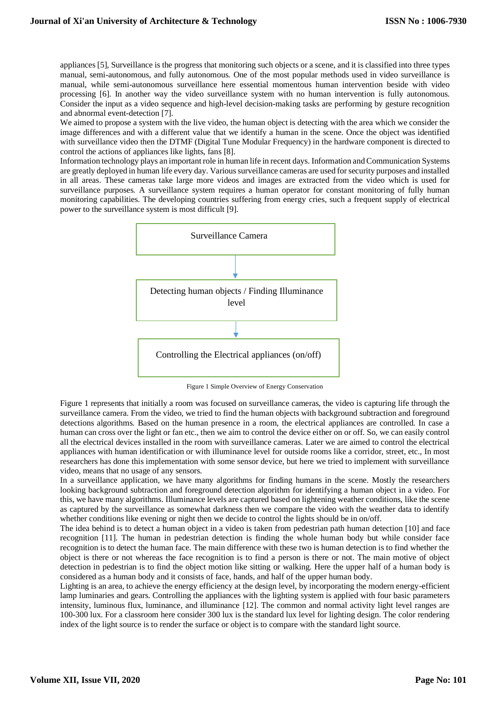appliances [5], Surveillance is the progress that monitoring such objects or a scene, and it is classified into three types manual, semi-autonomous, and fully autonomous. One of the most popular methods used in video surveillance is manual, while semi-autonomous surveillance here essential momentous human intervention beside with video processing [6]. In another way the video surveillance system with no human intervention is fully autonomous. Consider the input as a video sequence and high-level decision-making tasks are performing by gesture recognition and abnormal event-detection [7].

We aimed to propose a system with the live video, the human object is detecting with the area which we consider the image differences and with a different value that we identify a human in the scene. Once the object was identified with surveillance video then the DTMF (Digital Tune Modular Frequency) in the hardware component is directed to control the actions of appliances like lights, fans [8].

Information technology plays an important role in human life in recent days. Information and Communication Systems are greatly deployed in human life every day. Various surveillance cameras are used for security purposes and installed in all areas. These cameras take large more videos and images are extracted from the video which is used for surveillance purposes. A surveillance system requires a human operator for constant monitoring of fully human monitoring capabilities. The developing countries suffering from energy cries, such a frequent supply of electrical power to the surveillance system is most difficult [9].



Figure 1 Simple Overview of Energy Conservation

Figure 1 represents that initially a room was focused on surveillance cameras, the video is capturing life through the surveillance camera. From the video, we tried to find the human objects with background subtraction and foreground detections algorithms. Based on the human presence in a room, the electrical appliances are controlled. In case a human can cross over the light or fan etc., then we aim to control the device either on or off. So, we can easily control all the electrical devices installed in the room with surveillance cameras. Later we are aimed to control the electrical appliances with human identification or with illuminance level for outside rooms like a corridor, street, etc., In most researchers has done this implementation with some sensor device, but here we tried to implement with surveillance video, means that no usage of any sensors.

In a surveillance application, we have many algorithms for finding humans in the scene. Mostly the researchers looking background subtraction and foreground detection algorithm for identifying a human object in a video. For this, we have many algorithms. Illuminance levels are captured based on lightening weather conditions, like the scene as captured by the surveillance as somewhat darkness then we compare the video with the weather data to identify whether conditions like evening or night then we decide to control the lights should be in on/off.

The idea behind is to detect a human object in a video is taken from pedestrian path human detection [10] and face recognition [11]. The human in pedestrian detection is finding the whole human body but while consider face recognition is to detect the human face. The main difference with these two is human detection is to find whether the object is there or not whereas the face recognition is to find a person is there or not. The main motive of object detection in pedestrian is to find the object motion like sitting or walking. Here the upper half of a human body is considered as a human body and it consists of face, hands, and half of the upper human body.

Lighting is an area, to achieve the energy efficiency at the design level, by incorporating the modern energy-efficient lamp luminaries and gears. Controlling the appliances with the lighting system is applied with four basic parameters intensity, luminous flux, luminance, and illuminance [12]. The common and normal activity light level ranges are 100-300 lux. For a classroom here consider 300 lux is the standard lux level for lighting design. The color rendering index of the light source is to render the surface or object is to compare with the standard light source.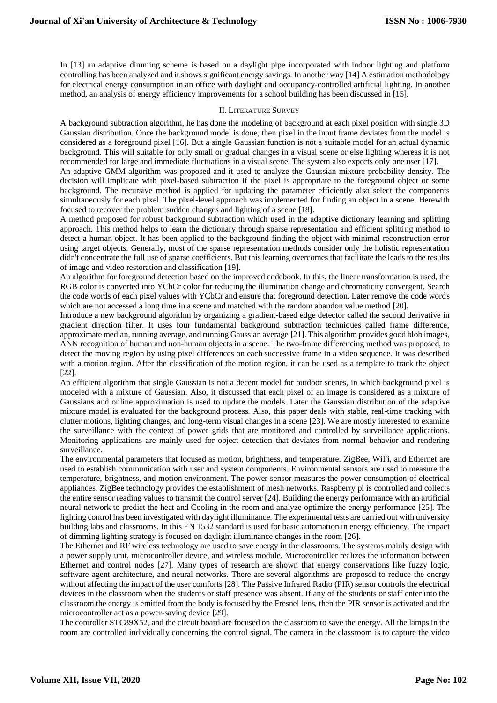In [13] an adaptive dimming scheme is based on a daylight pipe incorporated with indoor lighting and platform controlling has been analyzed and it shows significant energy savings. In another way [14] A estimation methodology for electrical energy consumption in an office with daylight and occupancy-controlled artificial lighting. In another method, an analysis of energy efficiency improvements for a school building has been discussed in [15].

# II. LITERATURE SURVEY

A background subtraction algorithm, he has done the modeling of background at each pixel position with single 3D Gaussian distribution. Once the background model is done, then pixel in the input frame deviates from the model is considered as a foreground pixel [16]. But a single Gaussian function is not a suitable model for an actual dynamic background. This will suitable for only small or gradual changes in a visual scene or else lighting whereas it is not recommended for large and immediate fluctuations in a visual scene. The system also expects only one user [17].

An adaptive GMM algorithm was proposed and it used to analyze the Gaussian mixture probability density. The decision will implicate with pixel-based subtraction if the pixel is appropriate to the foreground object or some background. The recursive method is applied for updating the parameter efficiently also select the components simultaneously for each pixel. The pixel-level approach was implemented for finding an object in a scene. Herewith focused to recover the problem sudden changes and lighting of a scene [18].

A method proposed for robust background subtraction which used in the adaptive dictionary learning and splitting approach. This method helps to learn the dictionary through sparse representation and efficient splitting method to detect a human object. It has been applied to the background finding the object with minimal reconstruction error using target objects. Generally, most of the sparse representation methods consider only the holistic representation didn't concentrate the full use of sparse coefficients. But this learning overcomes that facilitate the leads to the results of image and video restoration and classification [19].

An algorithm for foreground detection based on the improved codebook. In this, the linear transformation is used, the RGB color is converted into YCbCr color for reducing the illumination change and chromaticity convergent. Search the code words of each pixel values with YCbCr and ensure that foreground detection. Later remove the code words which are not accessed a long time in a scene and matched with the random abandon value method [20].

Introduce a new background algorithm by organizing a gradient-based edge detector called the second derivative in gradient direction filter. It uses four fundamental background subtraction techniques called frame difference, approximate median, running average, and running Gaussian average [21]. This algorithm provides good blob images, ANN recognition of human and non-human objects in a scene. The two-frame differencing method was proposed, to detect the moving region by using pixel differences on each successive frame in a video sequence. It was described with a motion region. After the classification of the motion region, it can be used as a template to track the object [22].

An efficient algorithm that single Gaussian is not a decent model for outdoor scenes, in which background pixel is modeled with a mixture of Gaussian. Also, it discussed that each pixel of an image is considered as a mixture of Gaussians and online approximation is used to update the models. Later the Gaussian distribution of the adaptive mixture model is evaluated for the background process. Also, this paper deals with stable, real-time tracking with clutter motions, lighting changes, and long-term visual changes in a scene [23]. We are mostly interested to examine the surveillance with the context of power grids that are monitored and controlled by surveillance applications. Monitoring applications are mainly used for object detection that deviates from normal behavior and rendering surveillance.

The environmental parameters that focused as motion, brightness, and temperature. ZigBee, WiFi, and Ethernet are used to establish communication with user and system components. Environmental sensors are used to measure the temperature, brightness, and motion environment. The power sensor measures the power consumption of electrical appliances. ZigBee technology provides the establishment of mesh networks. Raspberry pi is controlled and collects the entire sensor reading values to transmit the control server [24]. Building the energy performance with an artificial neural network to predict the heat and Cooling in the room and analyze optimize the energy performance [25]. The lighting control has been investigated with daylight illuminance. The experimental tests are carried out with university building labs and classrooms. In this EN 1532 standard is used for basic automation in energy efficiency. The impact of dimming lighting strategy is focused on daylight illuminance changes in the room [26].

The Ethernet and RF wireless technology are used to save energy in the classrooms. The systems mainly design with a power supply unit, microcontroller device, and wireless module. Microcontroller realizes the information between Ethernet and control nodes [27]. Many types of research are shown that energy conservations like fuzzy logic, software agent architecture, and neural networks. There are several algorithms are proposed to reduce the energy without affecting the impact of the user comforts [28]. The Passive Infrared Radio (PIR) sensor controls the electrical devices in the classroom when the students or staff presence was absent. If any of the students or staff enter into the classroom the energy is emitted from the body is focused by the Fresnel lens, then the PIR sensor is activated and the microcontroller act as a power-saving device [29].

The controller STC89X52, and the circuit board are focused on the classroom to save the energy. All the lamps in the room are controlled individually concerning the control signal. The camera in the classroom is to capture the video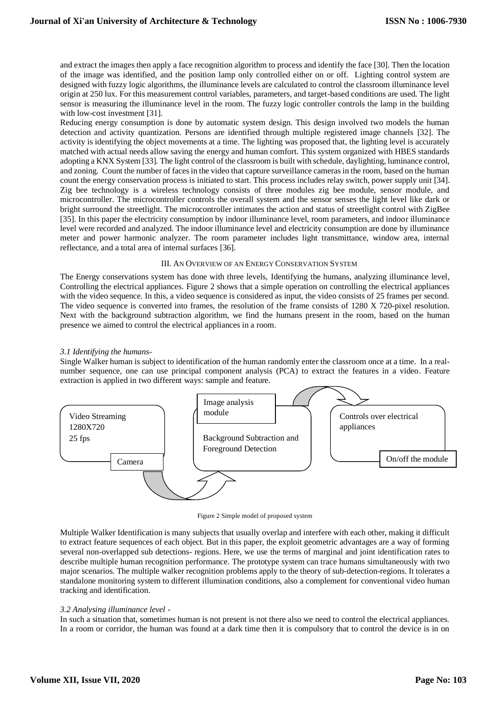and extract the images then apply a face recognition algorithm to process and identify the face [30]. Then the location of the image was identified, and the position lamp only controlled either on or off. Lighting control system are designed with fuzzy logic algorithms, the illuminance levels are calculated to control the classroom illuminance level origin at 250 lux. For this measurement control variables, parameters, and target-based conditions are used. The light sensor is measuring the illuminance level in the room. The fuzzy logic controller controls the lamp in the building with low-cost investment [31].

Reducing energy consumption is done by automatic system design. This design involved two models the human detection and activity quantization. Persons are identified through multiple registered image channels [32]. The activity is identifying the object movements at a time. The lighting was proposed that, the lighting level is accurately matched with actual needs allow saving the energy and human comfort. This system organized with HBES standards adopting a KNX System [33]. The light control of the classroom is built with schedule, daylighting, luminance control, and zoning. Count the number of faces in the video that capture surveillance cameras in the room, based on the human count the energy conservation process is initiated to start. This process includes relay switch, power supply unit [34]. Zig bee technology is a wireless technology consists of three modules zig bee module, sensor module, and microcontroller. The microcontroller controls the overall system and the sensor senses the light level like dark or bright surround the streetlight. The microcontroller intimates the action and status of streetlight control with ZigBee [35]. In this paper the electricity consumption by indoor illuminance level, room parameters, and indoor illuminance level were recorded and analyzed. The indoor illuminance level and electricity consumption are done by illuminance meter and power harmonic analyzer. The room parameter includes light transmittance, window area, internal reflectance, and a total area of internal surfaces [36].

### III. AN OVERVIEW OF AN ENERGY CONSERVATION SYSTEM

The Energy conservations system has done with three levels, Identifying the humans, analyzing illuminance level, Controlling the electrical appliances. Figure 2 shows that a simple operation on controlling the electrical appliances with the video sequence. In this, a video sequence is considered as input, the video consists of 25 frames per second. The video sequence is converted into frames, the resolution of the frame consists of 1280 X 720-pixel resolution. Next with the background subtraction algorithm, we find the humans present in the room, based on the human presence we aimed to control the electrical appliances in a room.

### *3.1 Identifying the humans-*

Single Walker human is subject to identification of the human randomly enter the classroom once at a time. In a realnumber sequence, one can use principal component analysis (PCA) to extract the features in a video. Feature extraction is applied in two different ways: sample and feature.



Figure 2 Simple model of proposed system

Multiple Walker Identification is many subjects that usually overlap and interfere with each other, making it difficult to extract feature sequences of each object. But in this paper, the exploit geometric advantages are a way of forming several non-overlapped sub detections- regions. Here, we use the terms of marginal and joint identification rates to describe multiple human recognition performance. The prototype system can trace humans simultaneously with two major scenarios. The multiple walker recognition problems apply to the theory of sub-detection-regions. It tolerates a standalone monitoring system to different illumination conditions, also a complement for conventional video human tracking and identification.

#### *3.2 Analysing illuminance level -*

In such a situation that, sometimes human is not present is not there also we need to control the electrical appliances. In a room or corridor, the human was found at a dark time then it is compulsory that to control the device is in on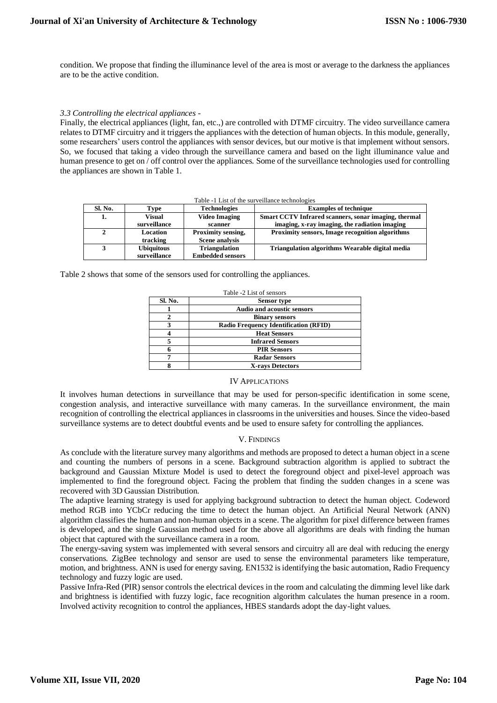condition. We propose that finding the illuminance level of the area is most or average to the darkness the appliances are to be the active condition.

#### *3.3 Controlling the electrical appliances -*

Finally, the electrical appliances (light, fan, etc.,) are controlled with DTMF circuitry. The video surveillance camera relates to DTMF circuitry and it triggers the appliances with the detection of human objects. In this module, generally, some researchers' users control the appliances with sensor devices, but our motive is that implement without sensors. So, we focused that taking a video through the surveillance camera and based on the light illuminance value and human presence to get on / off control over the appliances. Some of the surveillance technologies used for controlling the appliances are shown in Table 1.

Table -1 List of the surveillance technologies

| Sl. No. | Type              | <b>Technologies</b>     | <b>Examples of technique</b>                           |
|---------|-------------------|-------------------------|--------------------------------------------------------|
| 1.      | Visual            | <b>Video Imaging</b>    | Smart CCTV Infrared scanners, sonar imaging, thermal   |
|         | surveillance      | scanner                 | imaging, x-ray imaging, the radiation imaging          |
|         | Location          | Proximity sensing,      | <b>Proximity sensors, Image recognition algorithms</b> |
|         | tracking          | <b>Scene analysis</b>   |                                                        |
|         | <b>Ubiquitous</b> | <b>Triangulation</b>    | Triangulation algorithms Wearable digital media        |
|         | surveillance      | <b>Embedded sensors</b> |                                                        |

Table 2 shows that some of the sensors used for controlling the appliances.

| Table -2 List of sensors |                                              |  |  |
|--------------------------|----------------------------------------------|--|--|
| Sl. No.                  | <b>Sensor</b> type                           |  |  |
|                          | <b>Audio and acoustic sensors</b>            |  |  |
|                          | <b>Binary sensors</b>                        |  |  |
| 3                        | <b>Radio Frequency Identification (RFID)</b> |  |  |
|                          | <b>Heat Sensors</b>                          |  |  |
|                          | <b>Infrared Sensors</b>                      |  |  |
|                          | <b>PIR Sensors</b>                           |  |  |
|                          | <b>Radar Sensors</b>                         |  |  |
|                          | <b>X-rays Detectors</b>                      |  |  |

#### IV APPLICATIONS

It involves human detections in surveillance that may be used for person-specific identification in some scene, congestion analysis, and interactive surveillance with many cameras. In the surveillance environment, the main recognition of controlling the electrical appliances in classrooms in the universities and houses. Since the video-based surveillance systems are to detect doubtful events and be used to ensure safety for controlling the appliances.

# V. FINDINGS

As conclude with the literature survey many algorithms and methods are proposed to detect a human object in a scene and counting the numbers of persons in a scene. Background subtraction algorithm is applied to subtract the background and Gaussian Mixture Model is used to detect the foreground object and pixel-level approach was implemented to find the foreground object. Facing the problem that finding the sudden changes in a scene was recovered with 3D Gaussian Distribution.

The adaptive learning strategy is used for applying background subtraction to detect the human object. Codeword method RGB into YCbCr reducing the time to detect the human object. An Artificial Neural Network (ANN) algorithm classifies the human and non-human objects in a scene. The algorithm for pixel difference between frames is developed, and the single Gaussian method used for the above all algorithms are deals with finding the human object that captured with the surveillance camera in a room.

The energy-saving system was implemented with several sensors and circuitry all are deal with reducing the energy conservations. ZigBee technology and sensor are used to sense the environmental parameters like temperature, motion, and brightness. ANN is used for energy saving. EN1532 is identifying the basic automation, Radio Frequency technology and fuzzy logic are used.

Passive Infra-Red (PIR) sensor controls the electrical devices in the room and calculating the dimming level like dark and brightness is identified with fuzzy logic, face recognition algorithm calculates the human presence in a room. Involved activity recognition to control the appliances, HBES standards adopt the day-light values.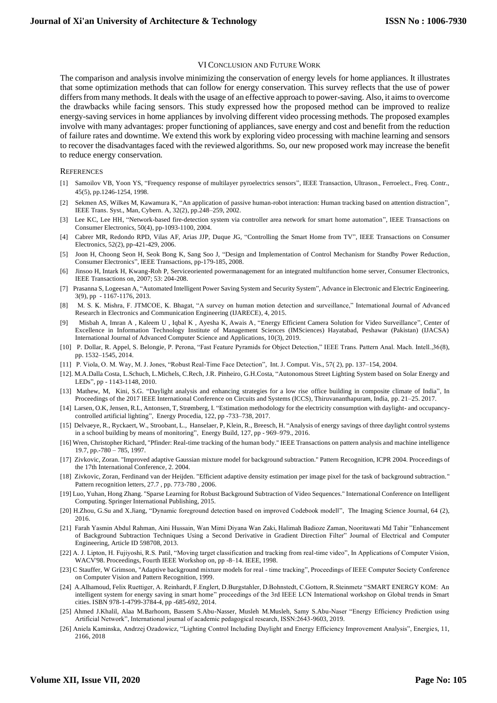#### VI CONCLUSION AND FUTURE WORK

The comparison and analysis involve minimizing the conservation of energy levels for home appliances. It illustrates that some optimization methods that can follow for energy conservation. This survey reflects that the use of power differs from many methods. It deals with the usage of an effective approach to power-saving. Also, it aims to overcome the drawbacks while facing sensors. This study expressed how the proposed method can be improved to realize energy-saving services in home appliances by involving different video processing methods. The proposed examples involve with many advantages: proper functioning of appliances, save energy and cost and benefit from the reduction of failure rates and downtime. We extend this work by exploring video processing with machine learning and sensors to recover the disadvantages faced with the reviewed algorithms. So, our new proposed work may increase the benefit to reduce energy conservation.

#### **REFERENCES**

- [1] Samoilov VB, Yoon YS, "Frequency response of multilayer pyroelectrics sensors", IEEE Transaction, Ultrason., Ferroelect., Freq. Contr., 45(5), pp.1246-1254, 1998.
- [2] Sekmen AS, Wilkes M, Kawamura K, "An application of passive human-robot interaction: Human tracking based on attention distraction", IEEE Trans. Syst., Man, Cybern. A, 32(2), pp.248–259, 2002.
- [3] Lee KC, Lee HH, "Network-based fire-detection system via controller area network for smart home automation", IEEE Transactions on Consumer Electronics, 50(4), pp-1093-1100, 2004.
- [4] Cabrer MR, Redondo RPD, Vilas AF, Arias JJP, Duque JG, "Controlling the Smart Home from TV", IEEE Transactions on Consumer Electronics, 52(2), pp-421-429, 2006.
- [5] Joon H, Choong Seon H, Seok Bong K, Sang Soo J, "Design and Implementation of Control Mechanism for Standby Power Reduction, Consumer Electronics", IEEE Transactions, pp-179-185, 2008.
- [6] Jinsoo H, Intark H, Kwang-Roh P, Serviceoriented powermanagement for an integrated multifunction home server, Consumer Electronics, IEEE Transactions on, 2007; 53: 204-208.
- [7] Prasanna S, Logeesan A, "Automated Intelligent Power Saving System and Security System", Advance in Electronic and Electric Engineering. 3(9), pp - 1167-1176, 2013.
- [8] M. S. K. Mishra, F. JTMCOE, K. Bhagat, "A survey on human motion detection and surveillance," International Journal of Advanced Research in Electronics and Communication Engineering (IJARECE), 4, 2015.
- [9] Misbah A, Imran A , Kaleem U , Iqbal K , Ayesha K, Awais A, "Energy Efficient Camera Solution for Video Surveillance", Center of Excellence in Information Technology Institute of Management Sciences (IMSciences) Hayatabad, Peshawar (Pakistan) (IJACSA) International Journal of Advanced Computer Science and Applications, 10(3), 2019.
- [10] P. Dollar, R. Appel, S. Belongie, P. Perona, "Fast Feature Pyramids for Object Detection," IEEE Trans. Pattern Anal. Mach. Intell.,36(8), pp. 1532–1545, 2014.
- [11] P. Viola, O. M. Way, M. J. Jones, "Robust Real-Time Face Detection", Int. J. Comput. Vis., 57( 2), pp. 137–154, 2004.
- [12]. M.A.Dalla Costa, L.Schuch, L.Michels, C.Rech, J.R. Pinheiro, G.H.Costa, "Autonomous Street Lighting System based on Solar Energy and LEDs", pp - 1143-1148, 2010.
- [13] Mathew, M, Kini, S.G. "Daylight analysis and enhancing strategies for a low rise office building in composite climate of India", In Proceedings of the 2017 IEEE International Conference on Circuits and Systems (ICCS), Thiruvananthapuram, India, pp. 21–25. 2017.
- [14] Larsen, O.K, Jensen, R.L, Antonsen, T, Strømberg, I. "Estimation methodology for the electricity consumption with daylight- and occupancycontrolled artificial lighting", Energy Procedia, 122, pp -733–738, 2017.
- [15] Delvaeye, R., Ryckaert, W., Stroobant, L., Hanselaer, P, Klein, R., Breesch, H. "Analysis of energy savings of three daylight control systems in a school building by means of monitoring", Energy Build, 127, pp - 969–979., 2016.
- [16] Wren, Christopher Richard, "Pfinder: Real-time tracking of the human body." IEEE Transactions on pattern analysis and machine intelligence 19.7, pp.-780 – 785, 1997.
- [17] Zivkovic, Zoran. "Improved adaptive Gaussian mixture model for background subtraction." Pattern Recognition, ICPR 2004. Proceedings of the 17th International Conference, 2. 2004.
- [18] Zivkovic, Zoran, Ferdinand van der Heijden. "Efficient adaptive density estimation per image pixel for the task of background subtraction." Pattern recognition letters, 27.7 , pp. 773-780 , 2006.
- [19] Luo, Yuhan, Hong Zhang. "Sparse Learning for Robust Background Subtraction of Video Sequences." International Conference on Intelligent Computing. Springer International Publishing, 2015.
- [20] H.Zhou, G.Su and X.Jiang, "Dynamic foreground detection based on improved Codebook model‖", The Imaging Science Journal, 64 (2), 2016.
- [21] Farah Yasmin Abdul Rahman, Aini Hussain, Wan Mimi Diyana Wan Zaki, Halimah Badioze Zaman, Nooritawati Md Tahir "Enhancement of Background Subtraction Techniques Using a Second Derivative in Gradient Direction Filter" Journal of Electrical and Computer Engineering, Article ID 598708, 2013.
- [22] A. J. Lipton, H. Fujiyoshi, R.S. Patil, "Moving target classification and tracking from real-time video", In Applications of Computer Vision, WACV'98. Proceedings, Fourth IEEE Workshop on, pp -8–14. IEEE, 1998.
- [23] C Stauffer, W Grimson, "Adaptive background mixture models for real time tracking", Proceedings of IEEE Computer Society Conference on Computer Vision and Pattern Recognition, 1999.
- [24] A.Alhamoud, Felix Ruettiger, A. Reinhardt, F.Englert, D.Burgstahler, D.Bohnstedt, C.Gottorn, R.Steinmetz "SMART ENERGY KOM: An intelligent system for energy saving in smart home" proceedings of the 3rd IEEE LCN International workshop on Global trends in Smart cities. ISBN 978-1-4799-3784-4, pp -685-692, 2014.
- [25] Ahmed J.Khalil, Alaa M.Barhoom, Bassem S.Abu-Nasser, Musleh M.Musleh, Samy S.Abu-Naser "Energy Efficiency Prediction using Artificial Network", International journal of academic pedagogical research, ISSN:2643-9603, 2019.
- [26] Aniela Kaminska, Andrzej Ozadowicz, "Lighting Control Including Daylight and Energy Efficiency Improvement Analysis", Energies, 11, 2166, 2018